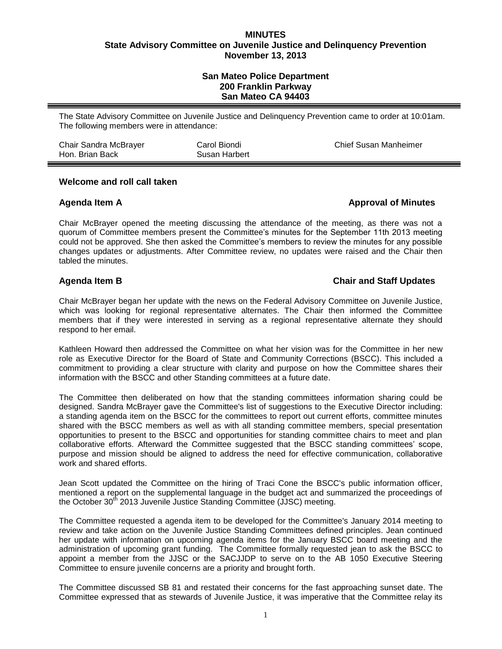### **MINUTES State Advisory Committee on Juvenile Justice and Delinquency Prevention November 13, 2013**

## **San Mateo Police Department 200 Franklin Parkway San Mateo CA 94403**

The State Advisory Committee on Juvenile Justice and Delinquency Prevention came to order at 10:01am. The following members were in attendance:

| Chair Sandra McBrayer<br>Hon. Brian Back | Carol Biondi<br>Susan Harbert | <b>Chief Susan Manheimer</b> |
|------------------------------------------|-------------------------------|------------------------------|
|                                          |                               |                              |

## **Welcome and roll call taken**

# **Agenda Item A Approval of Minutes**

Chair McBrayer opened the meeting discussing the attendance of the meeting, as there was not a quorum of Committee members present the Committee's minutes for the September 11th 2013 meeting could not be approved. She then asked the Committee's members to review the minutes for any possible changes updates or adjustments. After Committee review, no updates were raised and the Chair then tabled the minutes.

# **Agenda Item B Chair and Staff Updates**

Chair McBrayer began her update with the news on the Federal Advisory Committee on Juvenile Justice, which was looking for regional representative alternates. The Chair then informed the Committee members that if they were interested in serving as a regional representative alternate they should respond to her email.

Kathleen Howard then addressed the Committee on what her vision was for the Committee in her new role as Executive Director for the Board of State and Community Corrections (BSCC). This included a commitment to providing a clear structure with clarity and purpose on how the Committee shares their information with the BSCC and other Standing committees at a future date.

The Committee then deliberated on how that the standing committees information sharing could be designed. Sandra McBrayer gave the Committee's list of suggestions to the Executive Director including: a standing agenda item on the BSCC for the committees to report out current efforts, committee minutes shared with the BSCC members as well as with all standing committee members, special presentation opportunities to present to the BSCC and opportunities for standing committee chairs to meet and plan collaborative efforts. Afterward the Committee suggested that the BSCC standing committees' scope, purpose and mission should be aligned to address the need for effective communication, collaborative work and shared efforts.

Jean Scott updated the Committee on the hiring of Traci Cone the BSCC's public information officer, mentioned a report on the supplemental language in the budget act and summarized the proceedings of the October 30<sup>th</sup> 2013 Juvenile Justice Standing Committee (JJSC) meeting.

The Committee requested a agenda item to be developed for the Committee's January 2014 meeting to review and take action on the Juvenile Justice Standing Committees defined principles. Jean continued her update with information on upcoming agenda items for the January BSCC board meeting and the administration of upcoming grant funding. The Committee formally requested jean to ask the BSCC to appoint a member from the JJSC or the SACJJDP to serve on to the AB 1050 Executive Steering Committee to ensure juvenile concerns are a priority and brought forth.

The Committee discussed SB 81 and restated their concerns for the fast approaching sunset date. The Committee expressed that as stewards of Juvenile Justice, it was imperative that the Committee relay its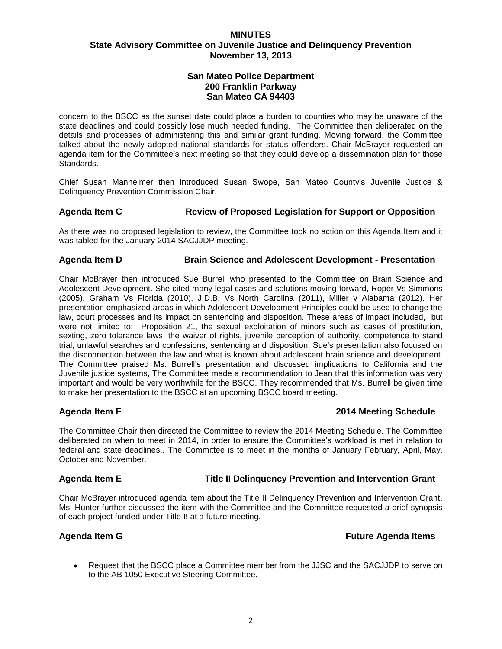### **MINUTES**

### **State Advisory Committee on Juvenile Justice and Delinquency Prevention November 13, 2013**

## **San Mateo Police Department 200 Franklin Parkway San Mateo CA 94403**

concern to the BSCC as the sunset date could place a burden to counties who may be unaware of the state deadlines and could possibly lose much needed funding. The Committee then deliberated on the details and processes of administering this and similar grant funding. Moving forward, the Committee talked about the newly adopted national standards for status offenders. Chair McBrayer requested an agenda item for the Committee's next meeting so that they could develop a dissemination plan for those Standards.

Chief Susan Manheimer then introduced Susan Swope, San Mateo County's Juvenile Justice & Delinquency Prevention Commission Chair.

# **Agenda Item C Review of Proposed Legislation for Support or Opposition**

As there was no proposed legislation to review, the Committee took no action on this Agenda Item and it was tabled for the January 2014 SACJJDP meeting.

# **Agenda Item D Brain Science and Adolescent Development - Presentation**

Chair McBrayer then introduced Sue Burrell who presented to the Committee on Brain Science and Adolescent Development. She cited many legal cases and solutions moving forward, Roper Vs Simmons (2005), Graham Vs Florida (2010), J.D.B. Vs North Carolina (2011), Miller v Alabama (2012). Her presentation emphasized areas in which Adolescent Development Principles could be used to change the law, court processes and its impact on sentencing and disposition. These areas of impact included, but were not limited to: Proposition 21, the sexual exploitation of minors such as cases of prostitution, sexting, zero tolerance laws, the waiver of rights, juvenile perception of authority, competence to stand trial, unlawful searches and confessions, sentencing and disposition. Sue's presentation also focused on the disconnection between the law and what is known about adolescent brain science and development. The Committee praised Ms. Burrell's presentation and discussed implications to California and the Juvenile justice systems, The Committee made a recommendation to Jean that this information was very important and would be very worthwhile for the BSCC. They recommended that Ms. Burrell be given time to make her presentation to the BSCC at an upcoming BSCC board meeting.

# **Agenda Item F 2014 Meeting Schedule**

The Committee Chair then directed the Committee to review the 2014 Meeting Schedule. The Committee deliberated on when to meet in 2014, in order to ensure the Committee's workload is met in relation to federal and state deadlines.. The Committee is to meet in the months of January February, April, May, October and November.

### **Agenda Item E Title II Delinquency Prevention and Intervention Grant**

Chair McBrayer introduced agenda item about the Title II Delinquency Prevention and Intervention Grant. Ms. Hunter further discussed the item with the Committee and the Committee requested a brief synopsis of each project funded under Title I! at a future meeting.

# **Agenda Item G Future Agenda Items**

Request that the BSCC place a Committee member from the JJSC and the SACJJDP to serve on  $\bullet$ to the AB 1050 Executive Steering Committee.